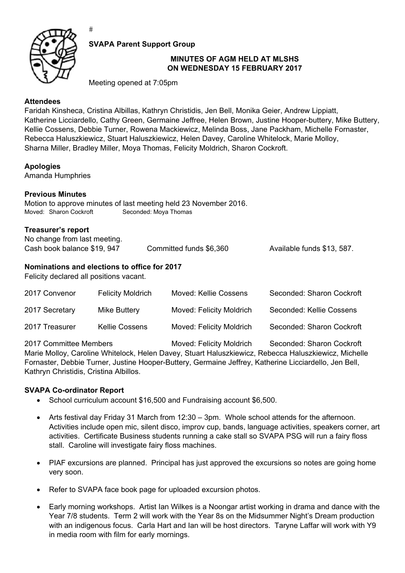

 $#$ 

**SVAPA Parent Support Group** 

### **MINUTES OF AGM HELD AT MLSHS ON WEDNESDAY 15 FEBRUARY 2017**

Meeting opened at 7:05pm

# **Attendees**

Faridah Kinsheca, Cristina Albillas, Kathryn Christidis, Jen Bell, Monika Geier, Andrew Lippiatt, Katherine Licciardello, Cathy Green, Germaine Jeffree, Helen Brown, Justine Hooper-buttery, Mike Buttery, Kellie Cossens, Debbie Turner, Rowena Mackiewicz, Melinda Boss, Jane Packham, Michelle Fornaster, Rebecca Haluszkiewicz, Stuart Haluszkiewicz, Helen Davey, Caroline Whitelock, Marie Molloy, Sharna Miller, Bradley Miller, Moya Thomas, Felicity Moldrich, Sharon Cockroft.

## **Apologies**

Amanda Humphries

### **Previous Minutes**

Motion to approve minutes of last meeting held 23 November 2016. Moved: Sharon Cockroft Seconded: Moya Thomas

### **Treasurer's report**

No change from last meeting. Cash book balance \$19, 947 Committed funds \$6,360 Available funds \$13, 587.

## **Nominations and elections to office for 2017**

Felicity declared all positions vacant.

| 2017 Convenor  | <b>Felicity Moldrich</b> | Moved: Kellie Cossens    | Seconded: Sharon Cockroft |
|----------------|--------------------------|--------------------------|---------------------------|
| 2017 Secretary | Mike Buttery             | Moved: Felicity Moldrich | Seconded: Kellie Cossens  |
| 2017 Treasurer | <b>Kellie Cossens</b>    | Moved: Felicity Moldrich | Seconded: Sharon Cockroft |

2017 Committee Members Moved: Felicity Moldrich Seconded: Sharon Cockroft Marie Molloy, Caroline Whitelock, Helen Davey, Stuart Haluszkiewicz, Rebecca Haluszkiewicz, Michelle Fornaster, Debbie Turner, Justine Hooper-Buttery, Germaine Jeffrey, Katherine Licciardello, Jen Bell, Kathryn Christidis, Cristina Albillos.

## **SVAPA Co-ordinator Report**

- School curriculum account \$16,500 and Fundraising account \$6,500.
- Arts festival day Friday 31 March from 12:30 3pm. Whole school attends for the afternoon. Activities include open mic, silent disco, improv cup, bands, language activities, speakers corner, art activities. Certificate Business students running a cake stall so SVAPA PSG will run a fairy floss stall. Caroline will investigate fairy floss machines.
- PIAF excursions are planned. Principal has just approved the excursions so notes are going home very soon.
- Refer to SVAPA face book page for uploaded excursion photos.
- Early morning workshops. Artist Ian Wilkes is a Noongar artist working in drama and dance with the Year 7/8 students. Term 2 will work with the Year 8s on the Midsummer Night's Dream production with an indigenous focus. Carla Hart and Ian will be host directors. Taryne Laffar will work with Y9 in media room with film for early mornings.